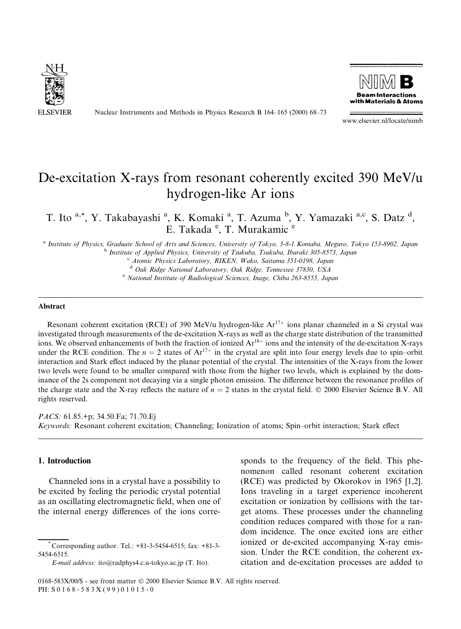

Nuclear Instruments and Methods in Physics Research B 164-165 (2000) 68-73



www.elsevier.nl/locate/nimb

# De-excitation X-rays from resonant coherently excited 390 MeV/u hydrogen-like Ar ions

T. Ito <sup>a,\*</sup>, Y. Takabayashi <sup>a</sup>, K. Komaki <sup>a</sup>, T. Azuma <sup>b</sup>, Y. Yamazaki <sup>a,c</sup>, S. Datz <sup>d</sup>, E. Takada<sup>e</sup>, T. Murakamic<sup>e</sup>

<sup>a</sup> Institute of Physics, Graduate School of Arts and Sciences, University of Tokyo, 3-8-1 Komaba, Meguro, Tokyo 153-8902, Japan b Institute of Applied Physics, University of Tsukuba, Tsukuba, Ibaraki 305-8573, Japan

c Atomic Physics Laboratory, RIKEN, Wako, Saitama 351-0198, Japan

<sup>d</sup> Oak Ridge National Laboratory, Oak Ridge, Tennessee 37830, USA e National Institute of Radiological Sciences, Inage, Chiba 263-8555, Japan

#### Abstract

Resonant coherent excitation (RCE) of 390 MeV/u hydrogen-like  $Ar^{17+}$  ions planar channeled in a Si crystal was investigated through measurements of the de-excitation X-rays as well as the charge state distribution of the transmitted ions. We observed enhancements of both the fraction of ionized  $Ar^{18+}$  ions and the intensity of the de-excitation X-rays under the RCE condition. The  $n = 2$  states of  $Ar^{17+}$  in the crystal are split into four energy levels due to spin–orbit interaction and Stark effect induced by the planar potential of the crystal. The intensities of the X-rays from the lower two levels were found to be smaller compared with those from the higher two levels, which is explained by the dominance of the 2s component not decaying via a single photon emission. The difference between the resonance profiles of the charge state and the X-ray reflects the nature of  $n = 2$  states in the crystal field.  $\odot$  2000 Elsevier Science B.V. All rights reserved.

PACS: 61.85.+p; 34.50.Fa; 71.70.Ej Keywords: Resonant coherent excitation; Channeling; Ionization of atoms; Spin-orbit interaction; Stark effect

## 1. Introduction

Channeled ions in a crystal have a possibility to be excited by feeling the periodic crystal potential as an oscillating electromagnetic field, when one of the internal energy differences of the ions corre-

E-mail address: ito@radphys4.c.u-tokyo.ac.jp (T. Ito).

sponds to the frequency of the field. This phenomenon called resonant coherent excitation (RCE) was predicted by Okorokov in 1965 [1,2]. Ions traveling in a target experience incoherent excitation or ionization by collisions with the target atoms. These processes under the channeling condition reduces compared with those for a random incidence. The once excited ions are either ionized or de-excited accompanying X-ray emission. Under the RCE condition, the coherent excitation and de-excitation processes are added to

<sup>\*</sup> Corresponding author. Tel.: +81-3-5454-6515; fax: +81-3- 5454-6515.

<sup>0168-583</sup>X/00/\$ - see front matter © 2000 Elsevier Science B.V. All rights reserved. PII: S 0 168-583X(99)01015-0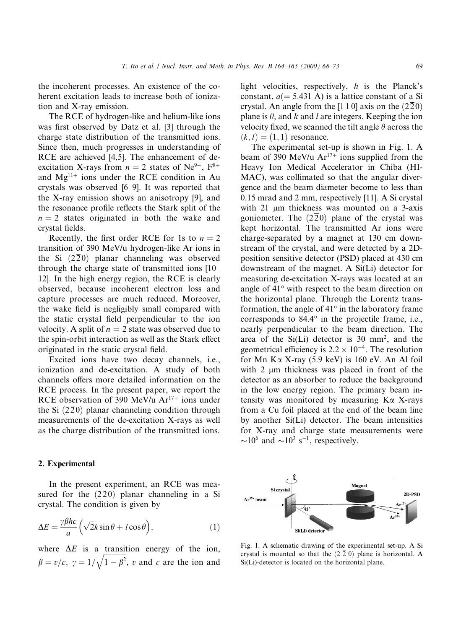the incoherent processes. An existence of the coherent excitation leads to increase both of ionization and X-ray emission.

The RCE of hydrogen-like and helium-like ions was first observed by Datz et al. [3] through the charge state distribution of the transmitted ions. Since then, much progresses in understanding of RCE are achieved [4,5]. The enhancement of deexcitation X-rays from  $n = 2$  states of Ne<sup>9+</sup>, F<sup>8+</sup> and  $Mg^{11+}$  ions under the RCE condition in Au crystals was observed [6-9]. It was reported that the X-ray emission shows an anisotropy [9], and the resonance profile reflects the Stark split of the  $n = 2$  states originated in both the wake and crystal fields.

Recently, the first order RCE for 1s to  $n = 2$ transition of 390 MeV/u hydrogen-like Ar ions in the Si  $(2\overline{2}0)$  planar channeling was observed through the charge state of transmitted ions  $[10-$ 12]. In the high energy region, the RCE is clearly observed, because incoherent electron loss and capture processes are much reduced. Moreover, the wake field is negligibly small compared with the static crystal field perpendicular to the ion velocity. A split of  $n = 2$  state was observed due to the spin-orbit interaction as well as the Stark effect originated in the static crystal field.

Excited ions have two decay channels, i.e., ionization and de-excitation. A study of both channels offers more detailed information on the RCE process. In the present paper, we report the RCE observation of 390 MeV/u  $Ar^{17+}$  ions under the Si  $(2\overline{2}0)$  planar channeling condition through measurements of the de-excitation X-rays as well as the charge distribution of the transmitted ions.

## 2. Experimental

In the present experiment, an RCE was measured for the  $(2\overline{2}0)$  planar channeling in a Si crystal. The condition is given by

$$
\Delta E = \frac{\gamma \beta hc}{a} \left( \sqrt{2}k \sin \theta + l \cos \theta \right),\tag{1}
$$

where  $\Delta E$  is a transition energy of the ion,  $\beta = v/c, \ \gamma = 1/\sqrt{1 - \beta^2}$ , v and c are the ion and

light velocities, respectively,  $h$  is the Planck's constant,  $a(= 5.431 \text{ Å})$  is a lattice constant of a Si crystal. An angle from the [1 1 0] axis on the  $(2\overline{2}0)$ plane is  $\theta$ , and k and l are integers. Keeping the ion velocity fixed, we scanned the tilt angle  $\theta$  across the  $(k, l) = (1, 1)$  resonance.

The experimental set-up is shown in Fig. 1. A beam of 390 MeV/u  $Ar^{17+}$  ions supplied from the Heavy Ion Medical Accelerator in Chiba (HI-MAC), was collimated so that the angular divergence and the beam diameter become to less than 0.15 mrad and 2 mm, respectively [11]. A Si crystal with  $21 \mu m$  thickness was mounted on a 3-axis goniometer. The  $(2\overline{2}0)$  plane of the crystal was kept horizontal. The transmitted Ar ions were charge-separated by a magnet at 130 cm downstream of the crystal, and were detected by a 2Dposition sensitive detector (PSD) placed at 430 cm downstream of the magnet. A Si(Li) detector for measuring de-excitation X-rays was located at an angle of 41° with respect to the beam direction on the horizontal plane. Through the Lorentz transformation, the angle of  $41^\circ$  in the laboratory frame corresponds to 84.4° in the projectile frame, i.e., nearly perpendicular to the beam direction. The area of the Si(Li) detector is 30 mm2, and the geometrical efficiency is  $2.2 \times 10^{-4}$ . The resolution for Mn Ka X-ray (5.9 keV) is 160 eV. An Al foil with  $2 \mu m$  thickness was placed in front of the detector as an absorber to reduce the background in the low energy region. The primary beam intensity was monitored by measuring  $K\alpha$  X-rays from a Cu foil placed at the end of the beam line by another Si(Li) detector. The beam intensities for X-ray and charge state measurements were  $\sim$ 10<sup>6</sup> and  $\sim$ 10<sup>3</sup> s<sup>-1</sup>, respectively.



Fig. 1. A schematic drawing of the experimental set-up. A Si crystal is mounted so that the  $(2\bar{2} 0)$  plane is horizontal. A Si(Li)-detector is located on the horizontal plane.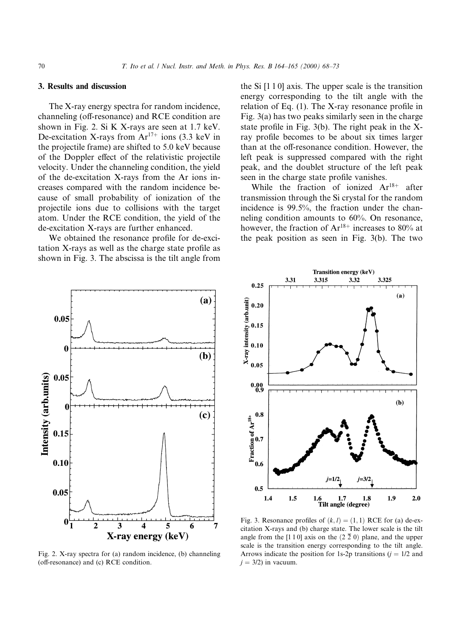## 3. Results and discussion

The X-ray energy spectra for random incidence, channeling (off-resonance) and RCE condition are shown in Fig. 2. Si K X-rays are seen at 1.7 keV. De-excitation X-rays from  $Ar^{17+}$  ions (3.3 keV in the projectile frame) are shifted to 5.0 keV because of the Doppler effect of the relativistic projectile velocity. Under the channeling condition, the yield of the de-excitation X-rays from the Ar ions increases compared with the random incidence because of small probability of ionization of the projectile ions due to collisions with the target atom. Under the RCE condition, the yield of the de-excitation X-rays are further enhanced.

We obtained the resonance profile for de-excitation  $X$ -rays as well as the charge state profile as shown in Fig. 3. The abscissa is the tilt angle from

the Si [1 1 0] axis. The upper scale is the transition energy corresponding to the tilt angle with the relation of Eq.  $(1)$ . The X-ray resonance profile in Fig. 3(a) has two peaks similarly seen in the charge state profile in Fig.  $3(b)$ . The right peak in the Xray profile becomes to be about six times larger than at the off-resonance condition. However, the left peak is suppressed compared with the right peak, and the doublet structure of the left peak seen in the charge state profile vanishes.

While the fraction of ionized  $Ar^{18+}$  after transmission through the Si crystal for the random incidence is 99.5%, the fraction under the channeling condition amounts to 60%. On resonance, however, the fraction of  $Ar^{18+}$  increases to 80% at the peak position as seen in Fig. 3(b). The two



Fig. 2. X-ray spectra for (a) random incidence, (b) channeling  $(off$ -resonance) and  $(c)$  RCE condition.



Fig. 3. Resonance profiles of  $(k, l) = (1, 1)$  RCE for (a) de-excitation X-rays and (b) charge state. The lower scale is the tilt angle from the [1 1 0] axis on the  $(2 \bar{2} 0)$  plane, and the upper scale is the transition energy corresponding to the tilt angle. Arrows indicate the position for 1s-2p transitions  $(j = 1/2$  and  $j = 3/2$ ) in vacuum.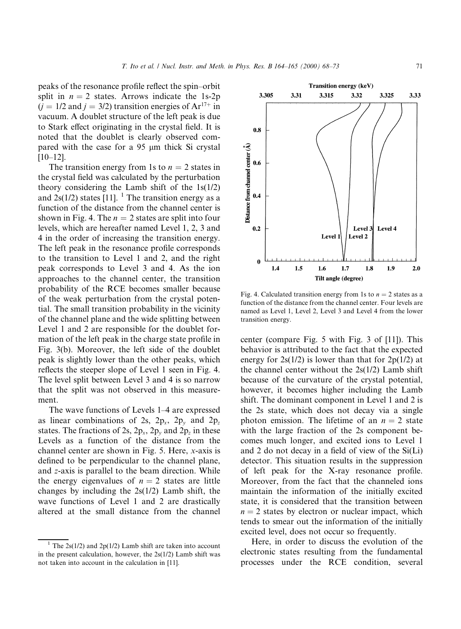peaks of the resonance profile reflect the spin-orbit split in  $n = 2$  states. Arrows indicate the 1s-2p  $(j = 1/2$  and  $j = 3/2$ ) transition energies of Ar<sup>17+</sup> in vacuum. A doublet structure of the left peak is due to Stark effect originating in the crystal field. It is noted that the doublet is clearly observed compared with the case for a  $95 \mu m$  thick Si crystal  $[10-12]$ .

The transition energy from 1s to  $n = 2$  states in the crystal field was calculated by the perturbation theory considering the Lamb shift of the 1s(1/2) and  $2s(1/2)$  states [11]. <sup>1</sup> The transition energy as a function of the distance from the channel center is shown in Fig. 4. The  $n = 2$  states are split into four levels, which are hereafter named Level 1, 2, 3 and 4 in the order of increasing the transition energy. The left peak in the resonance profile corresponds to the transition to Level 1 and 2, and the right peak corresponds to Level 3 and 4. As the ion approaches to the channel center, the transition probability of the RCE becomes smaller because of the weak perturbation from the crystal potential. The small transition probability in the vicinity of the channel plane and the wide splitting between Level 1 and 2 are responsible for the doublet formation of the left peak in the charge state profile in Fig. 3(b). Moreover, the left side of the doublet peak is slightly lower than the other peaks, which reflects the steeper slope of Level 1 seen in Fig. 4. The level split between Level 3 and 4 is so narrow that the split was not observed in this measurement.

The wave functions of Levels 1–4 are expressed as linear combinations of 2s,  $2p_x$ ,  $2p_y$  and  $2p_z$ states. The fractions of 2s,  $2p_x$ ,  $2p_y$  and  $2p_z$  in these Levels as a function of the distance from the channel center are shown in Fig. 5. Here, x-axis is defined to be perpendicular to the channel plane, and z-axis is parallel to the beam direction. While the energy eigenvalues of  $n = 2$  states are little changes by including the 2s(1/2) Lamb shift, the wave functions of Level 1 and 2 are drastically altered at the small distance from the channel



Fig. 4. Calculated transition energy from 1s to  $n = 2$  states as a function of the distance from the channel center. Four levels are named as Level 1, Level 2, Level 3 and Level 4 from the lower transition energy.

center (compare Fig. 5 with Fig. 3 of [11]). This behavior is attributed to the fact that the expected energy for  $2s(1/2)$  is lower than that for  $2p(1/2)$  at the channel center without the  $2s(1/2)$  Lamb shift because of the curvature of the crystal potential, however, it becomes higher including the Lamb shift. The dominant component in Level 1 and 2 is the 2s state, which does not decay via a single photon emission. The lifetime of an  $n = 2$  state with the large fraction of the 2s component becomes much longer, and excited ions to Level 1 and 2 do not decay in a field of view of the  $Si(Li)$ detector. This situation results in the suppression of left peak for the X-ray resonance profile. Moreover, from the fact that the channeled ions maintain the information of the initially excited state, it is considered that the transition between  $n = 2$  states by electron or nuclear impact, which tends to smear out the information of the initially excited level, does not occur so frequently.

Here, in order to discuss the evolution of the electronic states resulting from the fundamental processes under the RCE condition, several

<sup>&</sup>lt;sup>1</sup> The 2s(1/2) and 2p(1/2) Lamb shift are taken into account in the present calculation, however, the 2s(1/2) Lamb shift was not taken into account in the calculation in [11].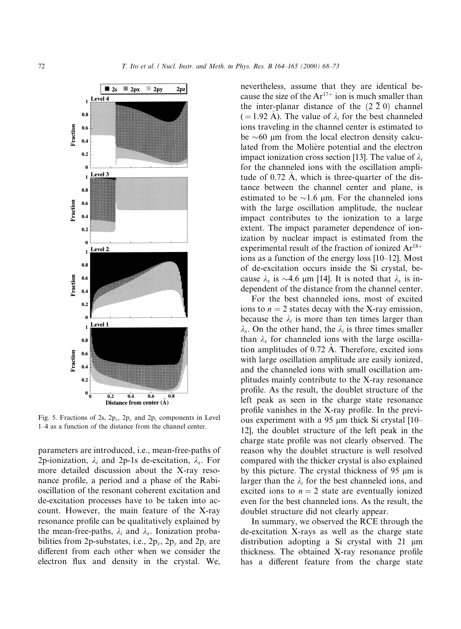

Fig. 5. Fractions of 2s,  $2p_x$ ,  $2p_y$  and  $2p_z$  components in Level 1-4 as a function of the distance from the channel center.

parameters are introduced, i.e., mean-free-paths of 2p-ionization,  $\lambda_i$  and 2p-1s de-excitation,  $\lambda_x$ . For more detailed discussion about the X-ray resonance profile, a period and a phase of the Rabioscillation of the resonant coherent excitation and de-excitation processes have to be taken into account. However, the main feature of the X-ray resonance profile can be qualitatively explained by the mean-free-paths,  $\lambda_i$  and  $\lambda_x$ . Ionization probabilities from 2p-substates, i.e.,  $2p_x$ ,  $2p_y$  and  $2p_z$  are different from each other when we consider the electron flux and density in the crystal. We,

nevertheless, assume that they are identical because the size of the  $Ar^{17+}$  ion is much smaller than the inter-planar distance of the  $(2\bar{2} 0)$  channel  $( = 1.92 \text{ Å})$ . The value of  $\lambda_i$  for the best channeled ions traveling in the channel center is estimated to be  $\sim 60$  µm from the local electron density calculated from the Moliere potential and the electron impact ionization cross section [13]. The value of  $\lambda_i$ for the channeled ions with the oscillation amplitude of 0.72 A, which is three-quarter of the dis tance between the channel center and plane, is estimated to be  $\sim$ 1.6 µm. For the channeled ions with the large oscillation amplitude, the nuclear impact contributes to the ionization to a large extent. The impact parameter dependence of ionization by nuclear impact is estimated from the experimental result of the fraction of ionized  $Ar^{18+}$ ions as a function of the energy loss  $[10-12]$ . Most of de-excitation occurs inside the Si crystal, because  $\lambda_r$  is  $\sim$ 4.6 µm [14]. It is noted that  $\lambda_r$  is independent of the distance from the channel center.

For the best channeled ions, most of excited ions to  $n = 2$  states decay with the X-ray emission, because the  $\lambda_i$  is more than ten times larger than  $\lambda_x$ . On the other hand, the  $\lambda_i$  is three times smaller than  $\lambda_x$  for channeled ions with the large oscillation amplitudes of 0.72 A. Therefore, excited ions with large oscillation amplitude are easily ionized, and the channeled ions with small oscillation amplitudes mainly contribute to the X-ray resonance profile. As the result, the doublet structure of the left peak as seen in the charge state resonance profile vanishes in the X-ray profile. In the previous experiment with a 95  $\mu$ m thick Si crystal [10– 12], the doublet structure of the left peak in the charge state profile was not clearly observed. The reason why the doublet structure is well resolved compared with the thicker crystal is also explained by this picture. The crystal thickness of 95  $\mu$ m is larger than the  $\lambda_i$  for the best channeled ions, and excited ions to  $n = 2$  state are eventually ionized even for the best channeled ions. As the result, the doublet structure did not clearly appear.

In summary, we observed the RCE through the de-excitation X-rays as well as the charge state distribution adopting a Si crystal with  $21 \mu m$ thickness. The obtained X-ray resonance profile has a different feature from the charge state